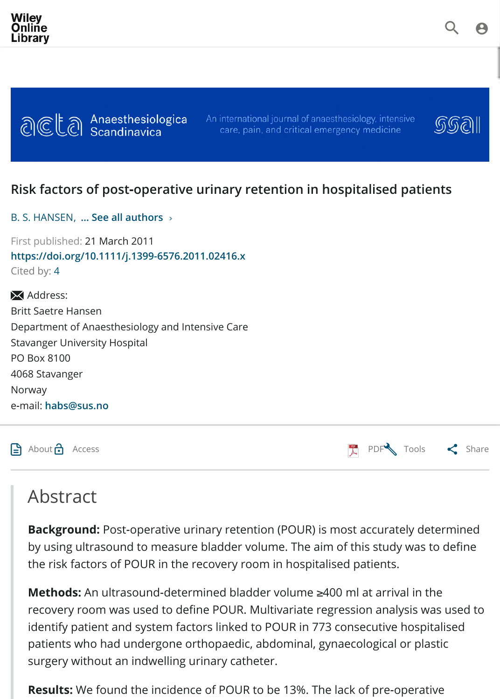

## **Risk factors of post‐operative urinary retention in hospitalised patients**

| B. S. HANSEN,  See all authors > |  |
|----------------------------------|--|
|----------------------------------|--|

First published: 21 March 2011 **[https://doi.org/10.1111/j.1399-6576.2011.02416.x](https://onlinelibrary.wiley.com/journal/13996576)** Cited by: 4

X Address: Britt Saetre Hansen Department of Anaesthesiology and Intensive Care [Stavanger Un](https://onlinelibrary.wiley.com/action/doSearch?ContribAuthorStored=HANSEN%2C+B+S)i[versity Hospital](https://onlinelibrary.wiley.com/doi/pdf/10.1111/j.1399-6576.2011.02416.x#) PO Box 8100 4068 Stavanger [Norway](https://doi.org/10.1111/j.1399-6576.2011.02416.x) e‐mail: **h[ab](#page-1-0)s@sus.no**

 $\Box$  About  $\Box$  Access  $\Box$  PDF Tools

## Abstract

**Background:** Post-operative urinary retention (POUR) is most accurately determined by using ultrasound to measure bladder volume. The aim of this study was to the risk factors of POUR in the recovery room in hospitalised patients.

**Methods:** An ultrasound-determined bladder volume ≥400 [ml at a](https://onlinelibrary.wiley.com/doi/epdf/10.1111/j.1399-6576.2011.02416.x)[rrival in the](https://onlinelibrary.wiley.com/doi/pdf/10.1111/j.1399-6576.2011.02416.x#) recovery room was used to define POUR. Multivariate regression analysis was identify patient and system factors linked to POUR in 773 consecutive hospitalised patients who had undergone orthopaedic, abdominal, gynaecological or plast surgery without an indwelling urinary catheter.

**Results:** We found the incidence of POUR to be 13%. The lack of pre-operative